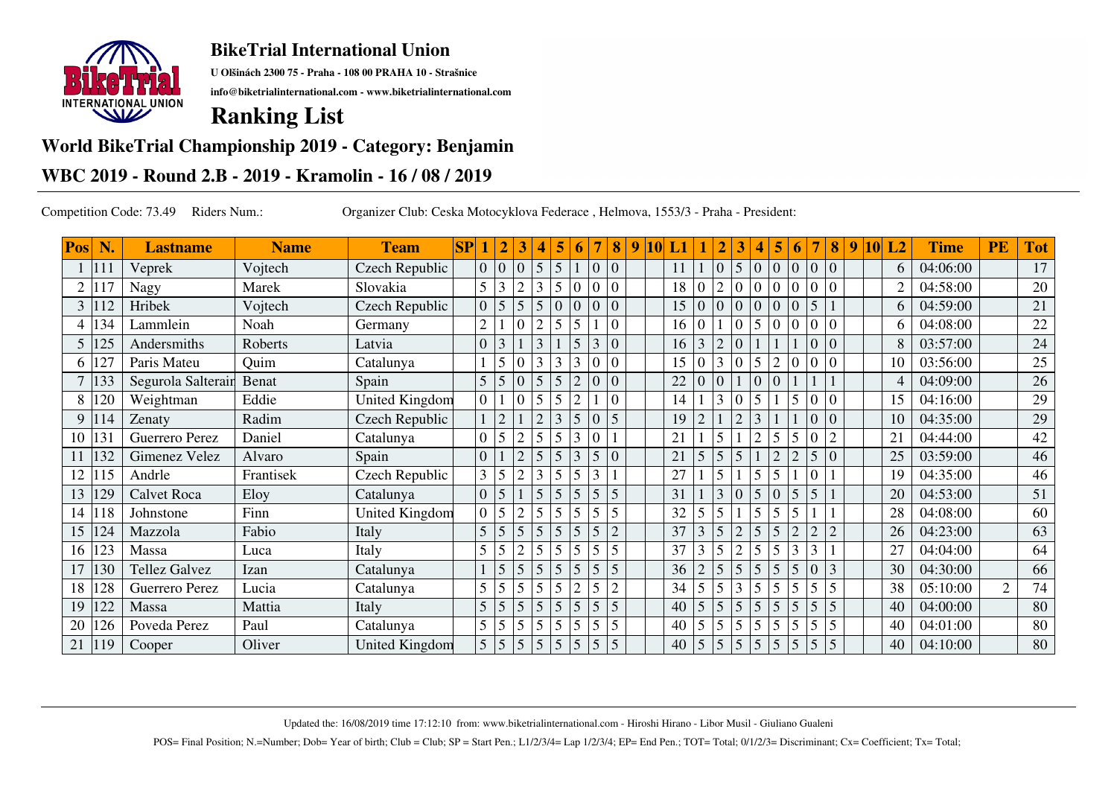

**U Olšinách 2300 75 - Praha - 108 00 PRAHA 10 - Strašnice**

**info@biketrialinternational.com - www.biketrialinternational.com**

## **Ranking List**

## **World BikeTrial Championship 2019 - Category: Benjamin**

## **WBC 2019 - Round 2.B - 2019 - Kramolin - 16 / 08 / 2019**

Competition Code: 73.49 Riders Num.: Organizer Club: Ceska Motocyklova Federace , Helmova, 1553/3 - Praha - President:

| <b>Pos</b> | N.   | <b>Lastname</b>       | <b>Name</b> | <b>Team</b>           | SP |                  |                | 3              | 4 | 5              | 6               |                | 8              | 9 | 10 | L1 |   | $\overline{2}$   | 3        | 4              | 5              | 6              |                  | 8              | 9 | <b>10</b> | L2 | <b>Time</b> | PE             | <b>Tot</b> |
|------------|------|-----------------------|-------------|-----------------------|----|------------------|----------------|----------------|---|----------------|-----------------|----------------|----------------|---|----|----|---|------------------|----------|----------------|----------------|----------------|------------------|----------------|---|-----------|----|-------------|----------------|------------|
|            | 111  | Veprek                | Vojtech     | Czech Republic        |    | $\overline{0}$   | $\overline{0}$ | $\overline{0}$ |   | 5              |                 | $\overline{0}$ | $\overline{0}$ |   |    | 11 |   | $\boldsymbol{0}$ | 5        | $\overline{0}$ | $\overline{0}$ | $\Omega$       | $\overline{0}$   | $\overline{0}$ |   |           | 6  | 04:06:00    |                | 17         |
|            |      | Nagy                  | Marek       | Slovakia              |    | $5\overline{)}$  | 3              |                |   | 5              |                 | 0              |                |   |    | 18 |   | $\overline{2}$   |          |                |                |                |                  |                |   |           | 2  | 04:58:00    |                | 20         |
| 3          |      | Hribek                | Vojtech     | Czech Republic        |    | $\overline{0}$   | 5              | 5              | 5 | $\overline{0}$ |                 | 0              | $\Omega$       |   |    | 15 |   | 0                | $\Omega$ | $\overline{0}$ | $\Omega$       | $\Omega$       | 5                |                |   |           | 6  | 04:59:00    |                | 21         |
|            | 34   | Lammlein              | Noah        | Germany               |    | $\mathfrak{2}$   |                |                |   | 5              | 5               |                |                |   |    | 16 |   |                  |          | 5              | $\Omega$       |                | $\theta$         | 0              |   |           | 6  | 04:08:00    |                | 22         |
| 5          | 125  | Andersmiths           | Roberts     | Latvia                |    | $\overline{0}$   | $\overline{3}$ |                |   |                |                 | 3              |                |   |    | 16 | 3 | $\overline{2}$   |          |                |                |                | $\overline{0}$   |                |   |           | 8  | 03:57:00    |                | 24         |
| 6          | 127  | Paris Mateu           | Quim        | Catalunya             |    |                  | 5              | $\overline{0}$ | 3 | 3              |                 | $\theta$       | $\Omega$       |   |    | 15 |   | 3                | $\Omega$ | 5              | $\overline{2}$ |                | $\theta$         | 0              |   |           | 10 | 03:56:00    |                | 25         |
|            | 133  | Segurola Salterain    | Benat       | Spain                 |    | 5                | 5              | $\overline{0}$ |   | 5              | $\overline{2}$  | $\Omega$       | $\Omega$       |   |    | 22 |   | 0                |          |                |                |                |                  |                |   |           | 4  | 04:09:00    |                | 26         |
| 8          | 120  | Weightman             | Eddie       | <b>United Kingdom</b> |    | $\overline{0}$   |                | $\overline{0}$ |   | 5              | $\overline{c}$  |                |                |   |    | 14 |   | 3                | $\Omega$ | 5              |                | 5              | $\boldsymbol{0}$ | $\Omega$       |   |           | 15 | 04:16:00    |                | 29         |
| 9          | 114  | Zenaty                | Radim       | Czech Republic        |    |                  | $\overline{2}$ |                |   | 3              |                 | $\overline{0}$ | 5              |   |    | 19 |   |                  |          | 3              |                |                | 0                |                |   |           | 10 | 04:35:00    |                | 29         |
| 10         | 131  | <b>Guerrero Perez</b> | Daniel      | Catalunya             |    | $\overline{0}$   | 5              | $\overline{2}$ | 5 | 5              | 3               | $\theta$       |                |   |    | 21 |   | 5                |          | $\overline{2}$ | 5              | 5              |                  | $\overline{2}$ |   |           | 21 | 04:44:00    |                | 42         |
|            | 132  | Gimenez Velez         | Alvaro      | Spain                 |    | $\overline{0}$   |                | $\overline{2}$ | 5 | 5              | 3               | 5              | $\Omega$       |   |    | 21 |   | 5                | 5        |                | $\overline{c}$ | $\overline{c}$ | 5                |                |   |           | 25 | 03:59:00    |                | 46         |
| 12         | 15   | Andrle                | Frantisek   | Czech Republic        |    | 3                | 5              | $\overline{2}$ | 3 | 5              |                 | $\overline{3}$ |                |   |    | 27 |   | 5                |          | 5              | 5              |                |                  |                |   |           | 19 | 04:35:00    |                | 46         |
| 13         | 129  | <b>Calvet Roca</b>    | Eloy        | Catalunya             |    | $\boldsymbol{0}$ | 5              |                |   | 5              | 5               | 5              | 5              |   |    | 31 |   | 3                |          | $\overline{5}$ | $\Omega$       | 5              | 5                |                |   |           | 20 | 04:53:00    |                | 51         |
| 14         | l 18 | Johnstone             | Finn        | <b>United Kingdom</b> |    | $\mathbf{0}$     | 5              | $\overline{2}$ | 5 | 5              | 5               | 5              | 5              |   |    | 32 | 5 | 5                |          | 5              | 5              | 5              |                  |                |   |           | 28 | 04:08:00    |                | 60         |
| 15         | 124  | Mazzola               | Fabio       | Italy                 |    | 5                | 5              |                |   | 5              | 5               | 5              | $\overline{2}$ |   |    | 37 |   | 5                |          | $\overline{5}$ | $\overline{5}$ |                | $\overline{2}$   | $\overline{c}$ |   |           | 26 | 04:23:00    |                | 63         |
| 16         | 123  | Massa                 | Luca        | Italy                 |    | 5                | 5              | $\overline{2}$ |   | $\mathfrak{S}$ |                 | 5 <sub>1</sub> |                |   |    | 37 | 3 | 5                |          | 5              | 5              | 3              | 3                |                |   |           | 27 | 04:04:00    |                | 64         |
| 17         | 130  | Tellez Galvez         | Izan        | Catalunya             |    |                  | 5              | 5              | 5 | 5              | 5               | $\overline{5}$ | 5              |   |    | 36 |   | 5                | 5        | 5              | 5              | 5              | $\theta$         | 3              |   |           | 30 | 04:30:00    |                | 66         |
| 18         | 128  | Guerrero Perez        | Lucia       | Catalunya             |    | 5                | 5              | 5              | 5 | 5              | $\overline{2}$  | 5              | $\overline{2}$ |   |    | 34 |   | 5                |          | $\overline{5}$ | 5              | 5              | 5                | 5              |   |           | 38 | 05:10:00    | $\overline{2}$ | 74         |
| 19         | 122  | Massa                 | Mattia      | Italy                 |    | 5                | 5              | 5              | 5 | 5              | 5               | 5              | 5              |   |    | 40 | 5 | 5                | 5        | $\overline{5}$ | 5              | $\overline{5}$ | 5                | 5              |   |           | 40 | 04:00:00    |                | 80         |
| 20         | 126  | Poveda Perez          | Paul        | Catalunya             |    | 5                | 5              | 5              |   | 5              |                 | 5              | 5              |   |    | 40 | 5 | 5                | 5        | 5              | 5              |                | 5                | 5              |   |           | 40 | 04:01:00    |                | 80         |
| 21         | 119  | Cooper                | Oliver      | United Kingdom        |    | 5 <sup>5</sup>   | 5              | 5              | 5 | 5 <sup>5</sup> | $5\overline{)}$ | $\overline{5}$ | 5              |   |    | 40 | 5 | 5                | 5        | 5 <sub>5</sub> | $\mathfrak{S}$ | $\overline{5}$ | 5                | $\overline{5}$ |   |           | 40 | 04:10:00    |                | 80         |

Updated the: 16/08/2019 time 17:12:10 from: www.biketrialinternational.com - Hiroshi Hirano - Libor Musil - Giuliano Gualeni

POS= Final Position; N.=Number; Dob= Year of birth; Club = Club; SP = Start Pen.; L1/2/3/4= Lap 1/2/3/4; EP= End Pen.; TOT= Total; 0/1/2/3= Discriminant; Cx= Coefficient; Tx= Total;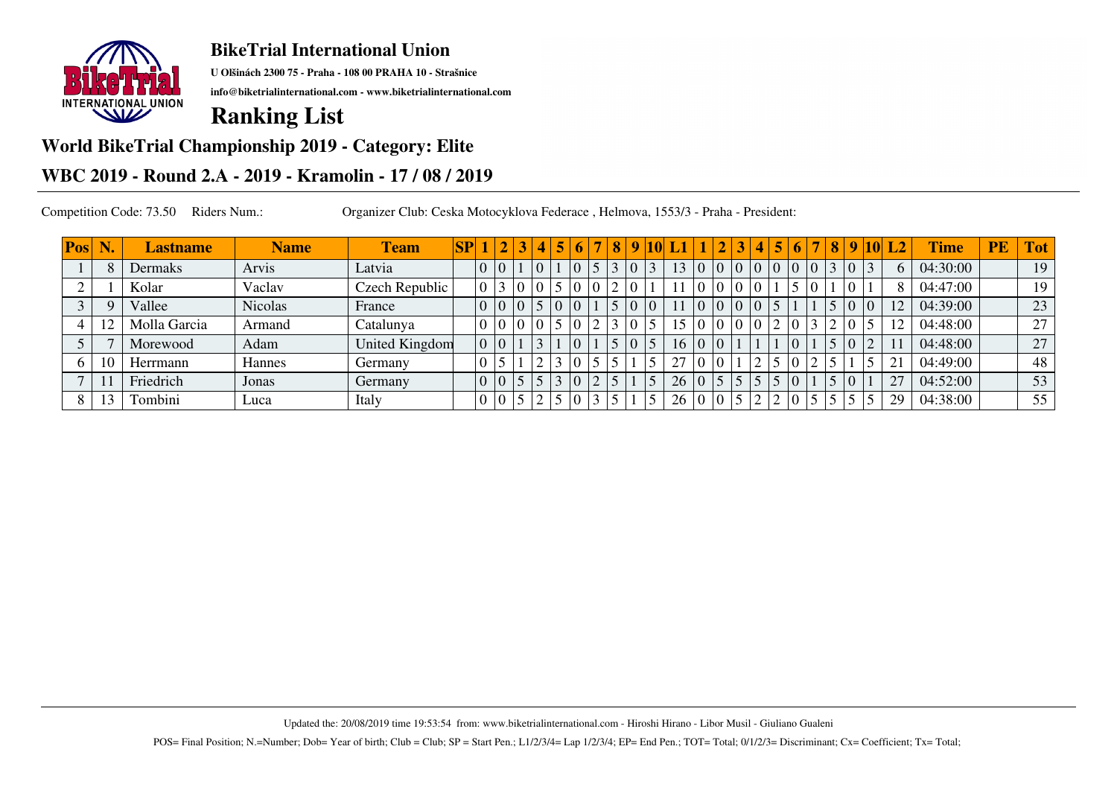

**U Olšinách 2300 75 - Praha - 108 00 PRAHA 10 - Strašnice**

**info@biketrialinternational.com - www.biketrialinternational.com**

# **Ranking List**

#### **World BikeTrial Championship 2019 - Category: Elite**

### **WBC 2019 - Round 2.A - 2019 - Kramolin - 17 / 08 / 2019**

Competition Code: 73.50 Riders Num.: Organizer Club: Ceska Motocyklova Federace , Helmova, 1553/3 - Praha - President:

| <b>Pos</b> | N | <b>Lastname</b> | <b>Name</b> | <b>Team</b>    | SP |                | 3               |  |  | 8 | $\mathbf Q$ |    |                |  | 4 | 5 | 6 | $\vert 8$ | 9 <sup>1</sup> | $10\vert L2$      | <b>Time</b> | <b>PE</b> | <b>Tot</b> |
|------------|---|-----------------|-------------|----------------|----|----------------|-----------------|--|--|---|-------------|----|----------------|--|---|---|---|-----------|----------------|-------------------|-------------|-----------|------------|
|            |   | Dermaks         | Arvis       | Latvia         |    | 10             |                 |  |  |   |             |    | $\overline{0}$ |  |   |   |   |           |                |                   | 04:30:00    |           | 19         |
|            |   | Kolar           | Vaclav      | Czech Republic |    |                |                 |  |  |   |             |    |                |  |   |   |   |           |                | 8                 | 04:47:00    |           | 19         |
|            |   | Vallee          | Nicolas     | France         |    | $\overline{0}$ | $ 0\rangle$     |  |  |   |             |    | $\mathbf{0}$   |  |   |   |   |           |                |                   | 04:39:00    |           | 23         |
|            |   | Molla Garcia    | Armand      | Catalunya      |    |                |                 |  |  |   |             |    |                |  |   |   |   |           |                | $1^{\circ}$       | 04:48:00    |           | 27         |
|            |   | Morewood        | Adam        | United Kingdom |    | l ()           |                 |  |  |   |             |    | $\overline{0}$ |  |   |   |   |           |                |                   | 04:48:00    |           | 27         |
| 6          |   | Herrmann        | Hannes      | Germany        |    |                |                 |  |  |   |             | 27 | $\theta$       |  |   |   |   |           |                | $\mathbf{\Omega}$ | 04:49:00    |           | 48         |
|            |   | Friedrich       | Jonas       | Germany        |    |                |                 |  |  |   |             | 26 | 0 <sup>1</sup> |  |   |   |   |           |                | $\mathcal{L}$     | 04:52:00    |           | 53         |
|            |   | Tombini         | Luca        | Italy          |    |                | $5\overline{)}$ |  |  |   |             | 26 | $0\vert 0$     |  |   |   |   |           |                | 29                | 04:38:00    |           | 55         |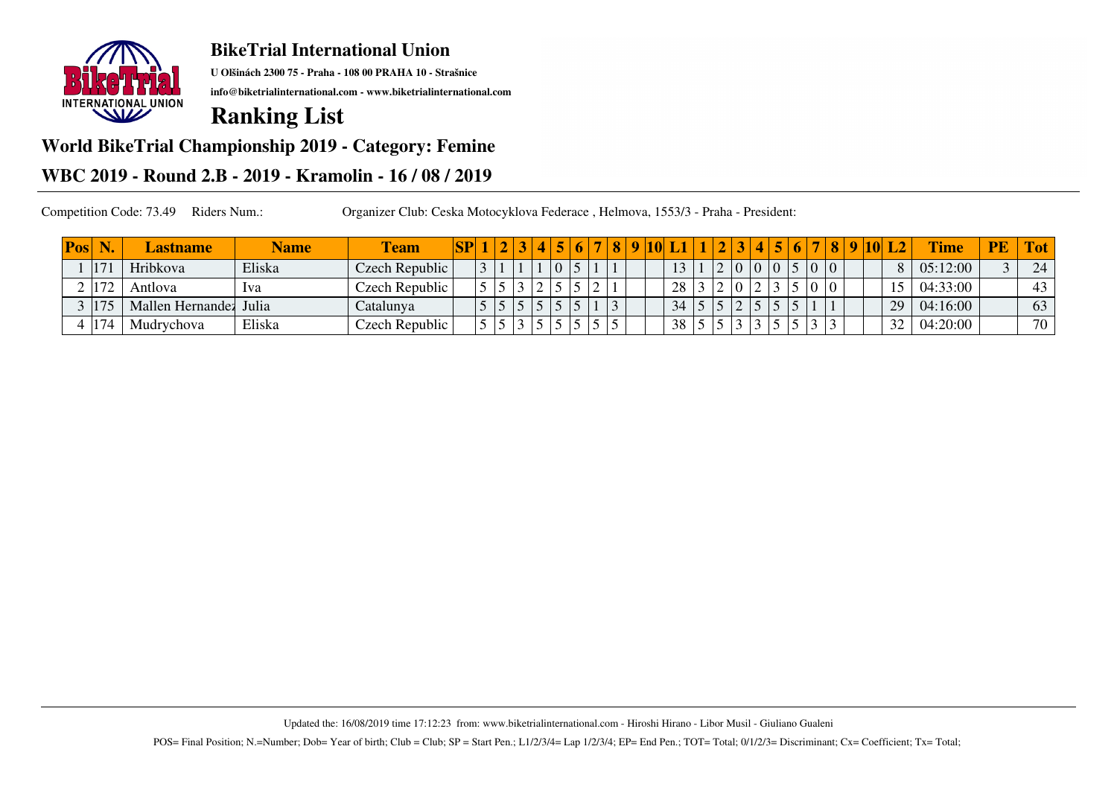

**U Olšinách 2300 75 - Praha - 108 00 PRAHA 10 - Strašnice**

**info@biketrialinternational.com - www.biketrialinternational.com**

## **Ranking List**

## **World BikeTrial Championship 2019 - Category: Femine**

## **WBC 2019 - Round 2.B - 2019 - Kramolin - 16 / 08 / 2019**

Competition Code: 73.49 Riders Num.: Organizer Club: Ceska Motocyklova Federace , Helmova, 1553/3 - Praha - President:

| Pos | N            | <b>Lastname</b>  | <b>Name</b> | <b>Team</b>    | SP |  |   |  |  |  |    |  |  | $\mathbf{p}$ | 8 |  | $10L$ L2     | <b>Time</b> | <b>PE</b> | <b>Tot</b> |
|-----|--------------|------------------|-------------|----------------|----|--|---|--|--|--|----|--|--|--------------|---|--|--------------|-------------|-----------|------------|
|     | 17           | Hribkova         | Eliska      | Czech Republic |    |  |   |  |  |  |    |  |  |              |   |  | $\mathbf{Q}$ | 05:12:00    |           | 24         |
|     | $2 \mid 172$ | Antlova          | lva         | Czech Republic |    |  |   |  |  |  | 28 |  |  |              |   |  |              | 04:33:00    |           | 43         |
|     | /175         | Mallen Hernandez | Julia       | Catalunya      |    |  |   |  |  |  | 34 |  |  |              |   |  | 29           | 04:16:00    |           | 63         |
|     | 174          | Mudrychova       | Eliska      | Czech Republic |    |  | ັ |  |  |  | 38 |  |  |              |   |  | 32           | 04:20:00    |           | 70         |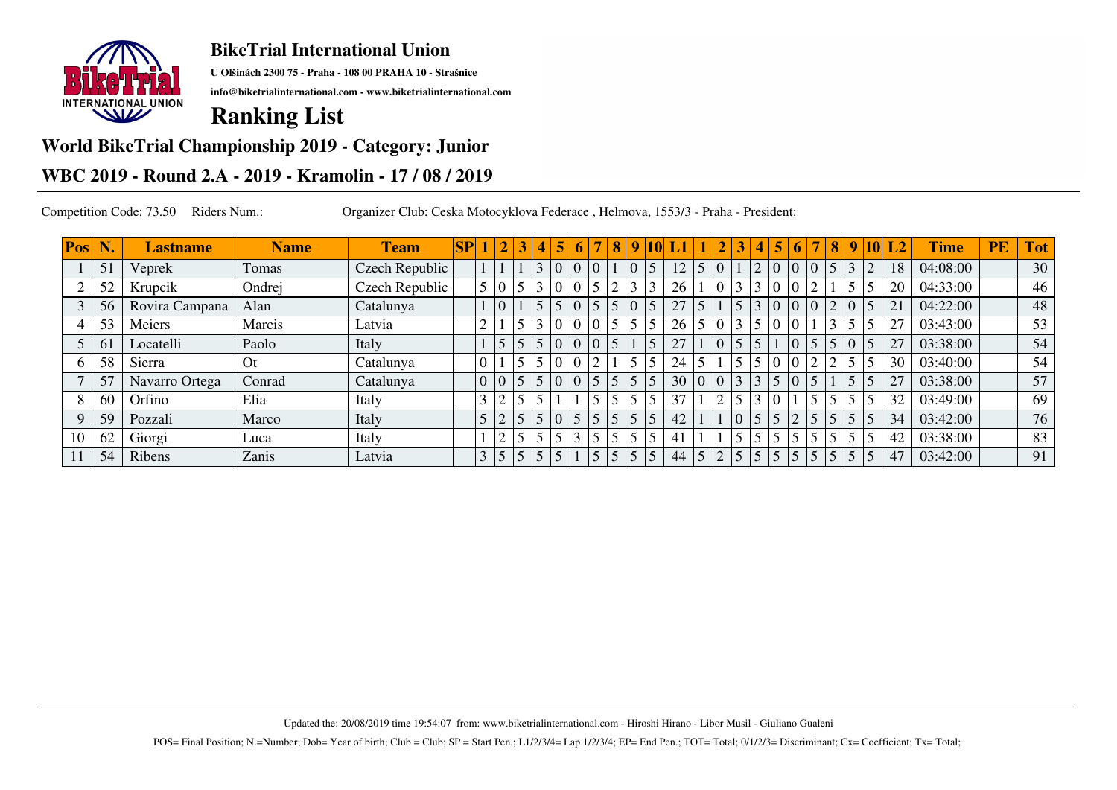

**U Olšinách 2300 75 - Praha - 108 00 PRAHA 10 - Strašnice**

**info@biketrialinternational.com - www.biketrialinternational.com**

# **Ranking List**

#### **World BikeTrial Championship 2019 - Category: Junior**

## **WBC 2019 - Round 2.A - 2019 - Kramolin - 17 / 08 / 2019**

Competition Code: 73.50 Riders Num.: Organizer Club: Ceska Motocyklova Federace , Helmova, 1553/3 - Praha - President:

| Pos | N. | <b>Lastname</b> | <b>Name</b> | <b>Team</b>    | $\bf SP$ | $\vert 2 \vert$ | 3 | 4 | 5              | 6              |                | 8 <sup>1</sup> | 9               | <b>10</b> |    |                |                | 3  |                | 5 <sup>1</sup> | 6                                      | 8 |                | 9 10            | L <sub>2</sub> | <b>Time</b> | PE | <b>Tot</b> |
|-----|----|-----------------|-------------|----------------|----------|-----------------|---|---|----------------|----------------|----------------|----------------|-----------------|-----------|----|----------------|----------------|----|----------------|----------------|----------------------------------------|---|----------------|-----------------|----------------|-------------|----|------------|
|     | 51 | Veprek          | Tomas       | Czech Republic |          |                 |   |   | $\overline{0}$ |                | $\overline{0}$ |                | 10 <sup>7</sup> |           | 12 | 5 <sup>1</sup> | $\theta$       |    | $ 2\rangle$    |                | $\begin{bmatrix} 0 \\ 0 \end{bmatrix}$ | 5 | 3              |                 | 18             | 04:08:00    |    | 30         |
|     | 52 | Krupcik         | Ondrej      | Czech Republic |          | 0               |   | 3 | $\overline{0}$ | $\overline{0}$ | 5 <sup>5</sup> | $\sim$         | $\sim$          |           | 26 |                | $\Omega$       |    | 3              |                | $\overline{0}$                         |   | $\epsilon$     |                 | 20             | 04:33:00    |    | 46         |
|     | 56 | Rovira Campana  | Alan        | Catalunya      |          | $\overline{0}$  |   | 5 | 5              |                | $\sqrt{5}$     | 5              | $\Omega$        |           | 27 | 5              |                | c  | $\overline{3}$ |                | 0 0                                    |   | $\overline{0}$ | $\vert 5 \vert$ | 21             | 04:22:00    |    | 48         |
|     | 53 | Meiers          | Marcis      | Latvia         |          |                 |   |   |                |                |                | 5              |                 |           | 26 |                |                |    | $\overline{5}$ |                |                                        |   | $\leq$         |                 | 27             | 03:43:00    |    | 53         |
|     | 61 | Locatelli       | Paolo       | Italy          |          | 5 <sup>5</sup>  |   |   | $\overline{0}$ |                | $\overline{0}$ | 5              |                 |           | 27 |                | $\overline{0}$ | c  | $\overline{5}$ |                | $\overline{0}$                         |   | $\overline{0}$ |                 | 27             | 03:38:00    |    | 54         |
|     | 58 | Sierra          | <b>Ot</b>   | Catalunya      |          |                 |   |   |                |                | $\mathcal{L}$  |                | $\leq$          |           | 24 | 5              |                | L. | $\overline{5}$ |                |                                        |   | $\leq$         |                 | 30             | 03:40:00    |    | 54         |
|     | 57 | Navarro Ortega  | Conrad      | Catalunya      |          | $ 0\rangle$     |   |   | $\overline{0}$ |                | $\sqrt{5}$     | 5              |                 |           | 30 |                | $\overline{0}$ |    | $\overline{3}$ |                | $\overline{0}$                         |   | $\epsilon$     |                 | 27             | 03:38:00    |    | 57         |
|     | 60 | Orfino          | Elia        | Italy          |          | $\gamma$        |   |   |                |                | 5              |                |                 |           | 37 |                |                |    |                |                |                                        |   | $\epsilon$     |                 | 32             | 03:49:00    |    | 69         |
|     | 59 | Pozzali         | Marco       | Italy          |          | $\overline{2}$  |   |   |                |                | $\sqrt{5}$     |                |                 |           | 42 |                |                |    | $\overline{5}$ | 5              | $\Omega$                               |   | 5              |                 | 34             | 03:42:00    |    | 76         |
| 10  | 62 | Giorgi          | Luca        | Italy          |          | $\gamma$        |   |   |                |                |                |                |                 |           | 41 |                |                |    |                |                |                                        |   |                |                 | 42             | 03:38:00    |    | 83         |
|     | 54 | Ribens          | Zanis       | Latvia         |          | $\vert 5 \vert$ |   |   |                |                |                |                |                 |           | 44 | 5              | $\overline{2}$ |    |                |                | 5                                      |   |                |                 | 47             | 03:42:00    |    | 91         |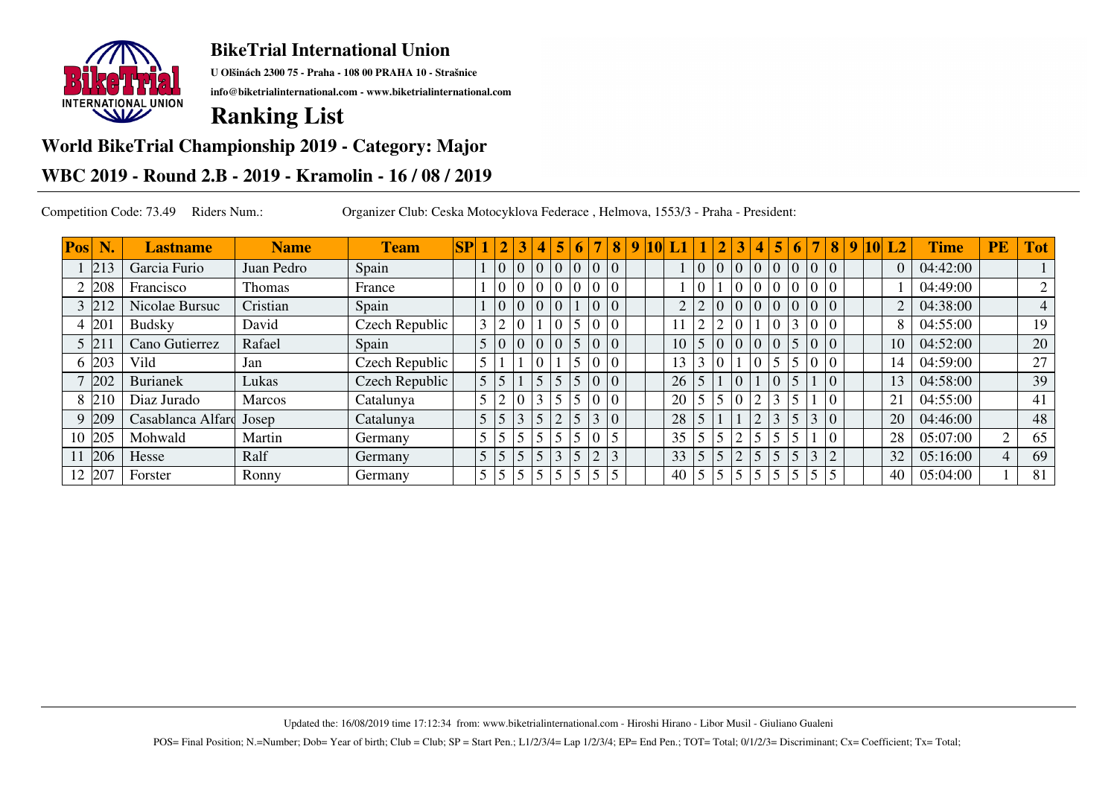

**U Olšinách 2300 75 - Praha - 108 00 PRAHA 10 - Strašnice**

**info@biketrialinternational.com - www.biketrialinternational.com**

# **Ranking List**

### **World BikeTrial Championship 2019 - Category: Major**

### **WBC 2019 - Round 2.B - 2019 - Kramolin - 16 / 08 / 2019**

Competition Code: 73.49 Riders Num.: Organizer Club: Ceska Motocyklova Federace , Helmova, 1553/3 - Praha - President:

| Pos | N.   | <b>Lastname</b>   | <b>Name</b>   | <b>Team</b>    | $\bf SP$ |                 | $\overline{2}$    |   |                         |                 | 6              |                         | $\bf{8}$       | 9 | 10I |          |                 |                |                | 4              |                | 6                       |                | 8              |  | $9 10 $ L2     | <b>Time</b> | <b>PE</b> | <b>Tot</b> |
|-----|------|-------------------|---------------|----------------|----------|-----------------|-------------------|---|-------------------------|-----------------|----------------|-------------------------|----------------|---|-----|----------|-----------------|----------------|----------------|----------------|----------------|-------------------------|----------------|----------------|--|----------------|-------------|-----------|------------|
|     | 213  | Garcia Furio      | Juan Pedro    | Spain          |          |                 |                   |   | $\vert 0 \vert 0 \vert$ |                 | $\overline{0}$ | 0 0                     |                |   |     |          | 0 <sup>10</sup> |                | $\overline{0}$ | $\overline{0}$ | $\overline{0}$ | 0 0                     |                |                |  |                | 04:42:00    |           |            |
|     | 208  | Francisco         | Thomas        | France         |          |                 | 0 0               |   | l O                     | $\overline{0}$  | ١o             | $\vert$ 0               | $ 0\rangle$    |   |     |          | $\overline{0}$  |                |                | $\overline{0}$ | $\overline{0}$ | 0 <sup>10</sup>         |                |                |  |                | 04:49:00    |           |            |
|     |      | Nicolae Bursuc    | Cristian      | Spain          |          |                 | 0 0               |   | $\Omega$                | $\overline{0}$  |                | $\vert$ 0               | $ 0\rangle$    |   |     | $\gamma$ | $\overline{2}$  | $\overline{0}$ | $\Omega$       | $\overline{0}$ | $\overline{0}$ | $\vert 0 \vert 0 \vert$ |                | $\overline{0}$ |  | $\overline{2}$ | 04:38:00    |           | 4          |
|     | 201  | <b>Budsky</b>     | David         | Czech Republic |          |                 | $\overline{2}$    |   |                         | $\overline{0}$  |                |                         | $\overline{0}$ |   |     |          | $\sim$          | $\sim$         |                |                |                | $\overline{3}$          |                |                |  | 8              | 04:55:00    |           | 19         |
|     | 5 21 | Cano Gutierrez    | Rafael        | Spain          |          |                 | $\vert 0 \vert 0$ |   | $\overline{0}$          | $\overline{0}$  | $\sqrt{5}$     | $\vert 0 \vert 0 \vert$ |                |   |     | 10       | 5 0             |                |                | $\overline{0}$ | $\overline{0}$ | $\sqrt{5}$              | $\overline{0}$ | $\overline{0}$ |  | 10             | 04:52:00    |           | 20         |
|     | 203  | Vild              | Jan           | Czech Republic |          | $5\overline{5}$ |                   |   |                         |                 |                |                         | $\overline{0}$ |   |     | 13       |                 |                |                | $\Omega$       | 5              | 5 <sup>5</sup>          |                |                |  | 14             | 04:59:00    |           | 27         |
|     | 202  | <b>Burianek</b>   | Lukas         | Czech Republic |          | $\overline{5}$  | 5 <sup>1</sup>    |   | 5                       | $\overline{5}$  |                |                         | $\Omega$       |   |     | 26       | 5               |                |                |                |                | 5                       |                | $\Omega$       |  | 13             | 04:58:00    |           | 39         |
| 8   | 210  | Diaz Jurado       | <b>Marcos</b> | Catalunya      |          |                 | $\overline{2}$    |   |                         | $\overline{5}$  |                |                         | $\Omega$       |   |     | 20       | 5 <sup>1</sup>  |                |                | $\Omega$       | 3              | 5                       |                |                |  | 21             | 04:55:00    |           | 41         |
|     | 209  | Casablanca Alfard | Josep         | Catalunya      |          | $\overline{5}$  | 5                 | 3 |                         |                 |                | $\vert 3 \vert 0 \vert$ |                |   |     | 28       | 5               |                |                | $\overline{2}$ |                | 5                       | 3              | $\overline{0}$ |  | 20             | 04:46:00    |           | 48         |
| 10  | 205  | Mohwald           | Martin        | Germany        |          | 5               | 5 <sup>1</sup>    | 5 | 5                       | 5               |                |                         | 5              |   |     | 35       | 5 <sup>1</sup>  |                | ◠              | $\leq$         |                | 5                       |                |                |  | 28             | 05:07:00    | $\gamma$  | 65         |
|     | 206  | Hesse             | Ralf          | Germany        |          |                 | 5 5               |   | 5                       | $\vert 3 \vert$ |                | $\overline{2}$          | 3              |   |     | 33       | 5               |                | $\overline{2}$ | 5              |                | 5 <sup>5</sup>          | 3              | $\overline{2}$ |  | 32             | 05:16:00    |           | 69         |
| 12  | 207  | Forster           | Ronny         | Germany        |          |                 | 5 <sup>1</sup>    |   | 5                       | $\overline{5}$  |                | 5 <sup>5</sup>          | 5              |   |     | 40       | 5 <sup>5</sup>  |                |                | 5              |                | 5 <sup>1</sup>          |                |                |  | 40             | 05:04:00    |           | 81         |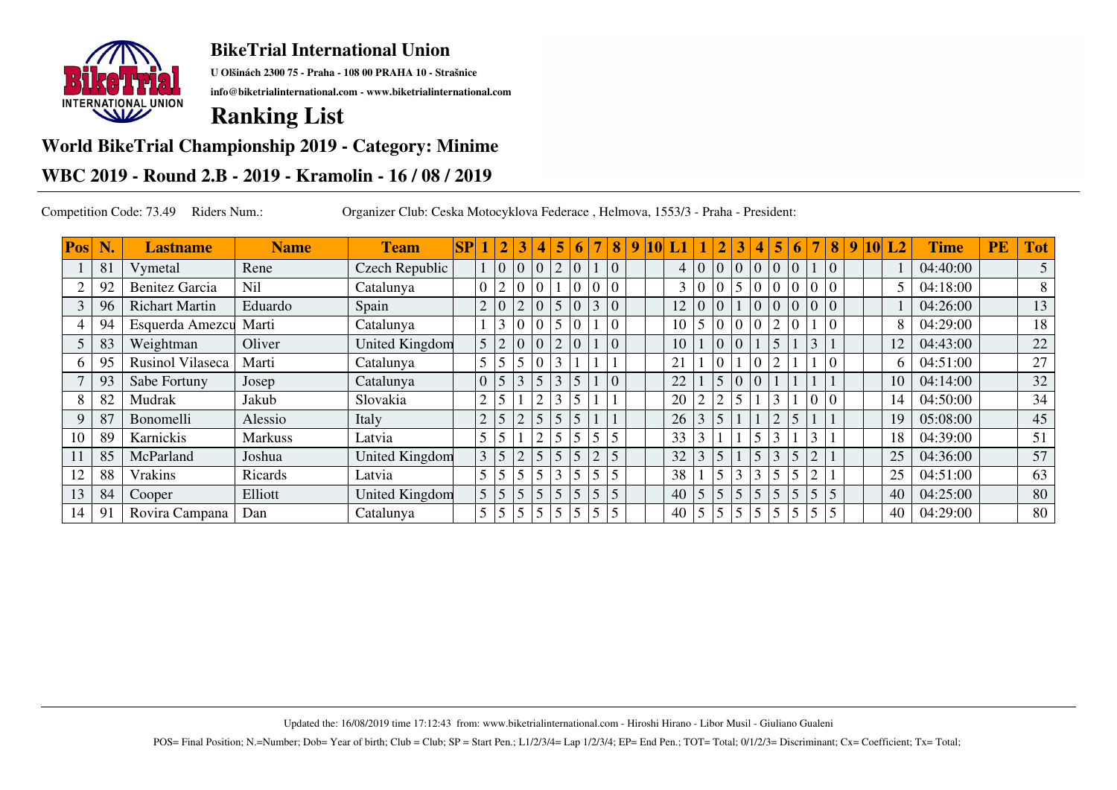

**U Olšinách 2300 75 - Praha - 108 00 PRAHA 10 - Strašnice**

**info@biketrialinternational.com - www.biketrialinternational.com**

## **Ranking List**

## **World BikeTrial Championship 2019 - Category: Minime**

## **WBC 2019 - Round 2.B - 2019 - Kramolin - 16 / 08 / 2019**

Competition Code: 73.49 Riders Num.: Organizer Club: Ceska Motocyklova Federace , Helmova, 1553/3 - Praha - President:

| Pos | N. | <b>Lastname</b>         | <b>Name</b>    | <b>Team</b>    | SP |                | $\vert 2 \vert$ |                | 4              | 5               | 6 | $\overline{7}$ | 8              | $\overline{9}$ | 10 | L1             |                 |            | 3              | 4              | 5               | 6              | $\overline{7}$ | $\overline{\mathbf{8}}$ | $\boldsymbol{9}$ | $10$ L <sub>2</sub> | <b>Time</b> | PE | <b>Tot</b>     |
|-----|----|-------------------------|----------------|----------------|----|----------------|-----------------|----------------|----------------|-----------------|---|----------------|----------------|----------------|----|----------------|-----------------|------------|----------------|----------------|-----------------|----------------|----------------|-------------------------|------------------|---------------------|-------------|----|----------------|
|     | 81 | Vymetal                 | Rene           | Czech Republic |    |                | $0 \mid 0$      |                | $\overline{0}$ | 2               |   |                | $\overline{0}$ |                |    | $\overline{4}$ | 0 <sup>10</sup> |            | $\overline{0}$ | $\Omega$       | $\overline{0}$  | $\Omega$       |                | $\Omega$                |                  |                     | 04:40:00    |    | 5 <sup>1</sup> |
|     | 92 | <b>Benitez Garcia</b>   | Nil            | Catalunya      |    |                | $\overline{2}$  |                |                |                 |   |                | $\Omega$       |                |    |                | $\overline{0}$  |            | 5              | $\theta$       |                 |                | $\overline{0}$ |                         |                  |                     | 04:18:00    |    |                |
|     | 96 | <b>Richart Martin</b>   | Eduardo        | Spain          |    | $\overline{2}$ | $\overline{0}$  | $\overline{2}$ |                | 5               |   | $\overline{3}$ | $\Omega$       |                |    | 12             | $\overline{0}$  |            |                | $\theta$       | $\Omega$        | $\Omega$       |                | $\vert$ 0               |                  |                     | 04:26:00    |    | 13             |
|     | 94 | Esquerda Amezcu         | Marti          | Catalunya      |    |                | 3 0             |                |                | $\overline{5}$  |   |                | $\overline{0}$ |                |    | 10             | 5               |            |                | $\overline{0}$ |                 |                |                |                         |                  |                     | 04:29:00    |    | 18             |
|     | 83 | Weightman               | Oliver         | United Kingdom |    | 5              | 2 0             |                | $\overline{0}$ | 2               |   |                | $\overline{0}$ |                |    | 10             |                 |            |                |                | $\overline{5}$  |                | 3              |                         |                  | 12                  | 04:43:00    |    | 22             |
|     | 95 | <b>Rusinol Vilaseca</b> | Marti          | Catalunya      |    |                | 5 <sup>1</sup>  | $\overline{5}$ | $\theta$       | $\overline{3}$  |   |                |                |                |    | 21             |                 |            |                | $\overline{0}$ | っ               |                |                | $\overline{0}$          |                  | 6                   | 04:51:00    |    | 27             |
|     | 93 | Sabe Fortuny            | Josep          | Catalunya      |    | $\Omega$       | $\frac{5}{3}$   |                | 5              | $\vert 3 \vert$ | 5 |                | $\overline{0}$ |                |    | 22             |                 |            | $\Omega$       | $\Omega$       |                 |                |                |                         |                  | 10                  | 04:14:00    |    | 32             |
|     | 82 | Mudrak                  | Jakub          | Slovakia       |    | $\overline{2}$ | $5\overline{)}$ |                | ⌒              | 3               |   |                |                |                |    | 20             | $\gamma$        | $\sim$     | 5              |                | 3               |                |                |                         |                  | 14                  | 04:50:00    |    | 34             |
|     | 87 | Bonomelli               | Alessio        | Italy          |    | $\mathbf{2}$   | $\sqrt{5}$      | $\overline{2}$ | 5              | $\vert$ 5       |   |                |                |                |    | 26             | 3               | 5          |                |                | $\overline{2}$  | 5              |                |                         |                  | 19                  | 05:08:00    |    | 45             |
| 10  | 89 | Karnickis               | <b>Markuss</b> | Latvia         |    |                | 5               |                | $\overline{2}$ | $\overline{5}$  |   | 5              | 5              |                |    | 33             | 3               |            |                | 5              | $\sim$          |                | 3              |                         |                  | 18                  | 04:39:00    |    | 51             |
|     | 85 | McParland               | Joshua         | United Kingdom |    | 3              | 5 <sup>1</sup>  | $\overline{2}$ | 5              | $\vert 5 \vert$ |   | $\overline{2}$ | 5              |                |    | 32             | 3               | 5          |                | 5              | $\overline{3}$  | 5              | $\overline{2}$ |                         |                  | 25                  | 04:36:00    |    | 57             |
| 12  | 88 | Vrakins                 | Ricards        | Latvia         |    | 5              | 5 <sup>5</sup>  |                | 5              | 3               |   | 5              | 5              |                |    | 38             |                 | $\epsilon$ | 3              | 3              | 5               | 5 <sup>5</sup> |                |                         |                  | 25                  | 04:51:00    |    | 63             |
| 13  | 84 | Cooper                  | Elliott        | United Kingdom |    | $\overline{5}$ | $\frac{5}{5}$   |                | 5              | $\sqrt{5}$      |   | 5              | 5              |                |    | 40             | 5 <sup>5</sup>  | 5          | 5              | 5              | $\sqrt{5}$      | 5              | 5              | 5                       |                  | 40                  | 04:25:00    |    | 80             |
| 14  | 91 | Rovira Campana          | Dan            | Catalunya      |    | 5              | 5 <sup>1</sup>  | $\overline{5}$ | 5              | $\overline{5}$  |   |                | 5              |                |    | 40             | 5               | 5          |                | 5              | $5\phantom{.0}$ |                | 5              |                         |                  | 40                  | 04:29:00    |    | 80             |

Updated the: 16/08/2019 time 17:12:43 from: www.biketrialinternational.com - Hiroshi Hirano - Libor Musil - Giuliano Gualeni

POS= Final Position; N.=Number; Dob= Year of birth; Club = Club; SP = Start Pen.; L1/2/3/4= Lap 1/2/3/4; EP= End Pen.; TOT= Total; 0/1/2/3= Discriminant; Cx= Coefficient; Tx= Total;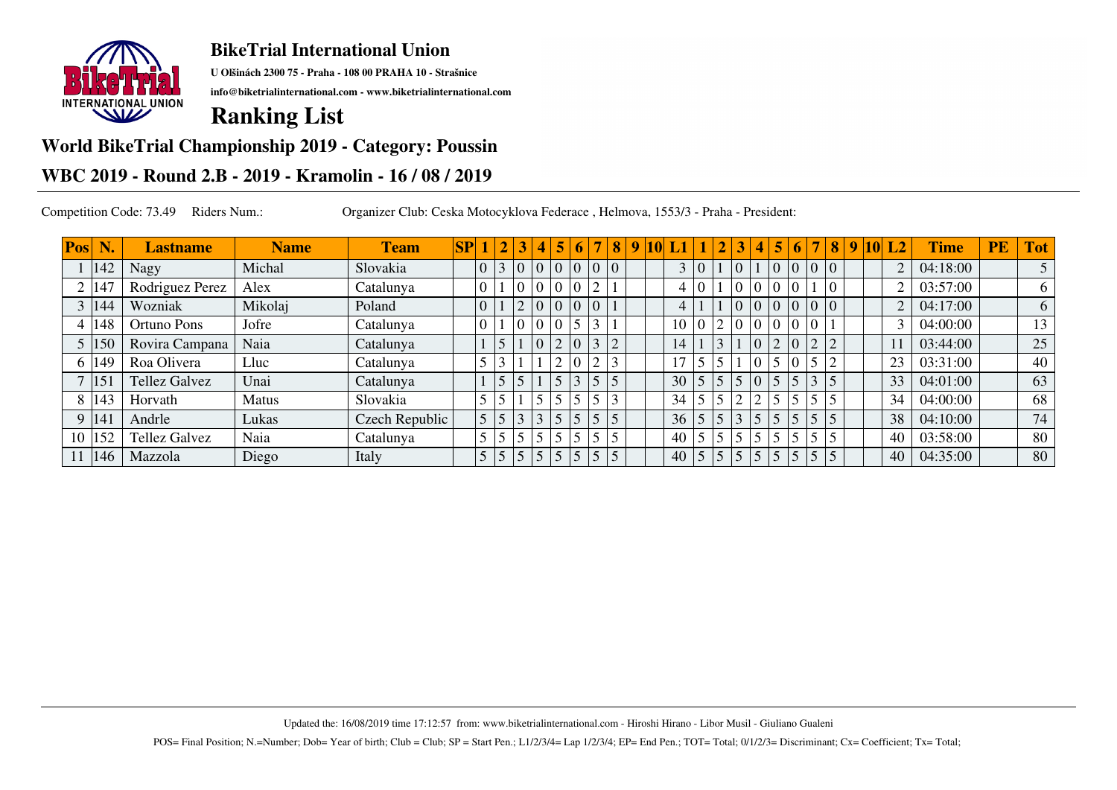

**U Olšinách 2300 75 - Praha - 108 00 PRAHA 10 - Strašnice**

**info@biketrialinternational.com - www.biketrialinternational.com**

## **Ranking List**

### **World BikeTrial Championship 2019 - Category: Poussin**

## **WBC 2019 - Round 2.B - 2019 - Kramolin - 16 / 08 / 2019**

Competition Code: 73.49 Riders Num.: Organizer Club: Ceska Motocyklova Federace , Helmova, 1553/3 - Praha - President:

| Pos | N.           | <b>Lastname</b>      | <b>Name</b>  | <b>Team</b>    | SP |                | $\vert 2 \vert$               | $\overline{\mathbf{4}}$ | 5              | 6              | $\overline{7}$ | 8 <sup>1</sup> | -9 | 10 |    |                |               | 3 | 4              | 5              | 6              |                 | 8        | $\sqrt{9}$ 10 $\sqrt{2}$ | L <sub>2</sub> | <b>Time</b> | <b>PE</b> | <b>Tot</b> |
|-----|--------------|----------------------|--------------|----------------|----|----------------|-------------------------------|-------------------------|----------------|----------------|----------------|----------------|----|----|----|----------------|---------------|---|----------------|----------------|----------------|-----------------|----------|--------------------------|----------------|-------------|-----------|------------|
|     | 142          | Nagy                 | Michal       | Slovakia       |    | $\overline{0}$ | $\vert 3 \vert \vert 0 \vert$ | $\theta$                | $\overline{0}$ | $\overline{0}$ | 0 0            |                |    |    |    | $\overline{0}$ |               |   |                | $\overline{0}$ | 0 0            |                 |          |                          | 2              | 04:18:00    |           |            |
|     | 147          | Rodriguez Perez      | Alex         | Catalunya      |    | $\overline{0}$ |                               |                         | $\overline{0}$ |                | 2              |                |    |    | 4  | $\overline{0}$ |               |   | Λ              |                | $\overline{0}$ |                 | $\theta$ |                          | $\overline{2}$ | 03:57:00    |           | 6          |
|     | 144          | Wozniak              | Mikolaj      | Poland         |    | $\overline{0}$ |                               |                         | $\overline{0}$ |                |                |                |    |    | 4  |                |               |   | $\overline{0}$ | $\overline{0}$ | $\overline{0}$ |                 |          |                          | $\overline{2}$ | 04:17:00    |           | 6          |
|     | 148          | <b>Ortuno Pons</b>   | Jofre        | Catalunya      |    | $\overline{0}$ |                               |                         | $\overline{0}$ |                | 3              |                |    |    | 10 | 0 <sup>1</sup> | $\mathcal{D}$ |   | $\Omega$       |                | $\overline{0}$ |                 |          |                          | 3              | 04:00:00    |           | 13         |
|     | 150          | Rovira Campana       | Naia         | Catalunya      |    |                | 5                             |                         |                |                | 3              | $\overline{2}$ |    |    | 14 |                |               |   | $\Omega$       |                | $\overline{0}$ | $\bigcap$       |          |                          |                | 03:44:00    |           | 25         |
|     | 149          | Roa Olivera          | Lluc         | Catalunya      |    |                | 3                             |                         |                |                | $\overline{2}$ | 3              |    |    | 17 |                |               |   | ⌒              |                | $\overline{0}$ |                 |          |                          | 23             | 03:31:00    |           | 40         |
|     | $ 15\rangle$ | <b>Tellez Galvez</b> | Unai         | Catalunya      |    |                | $\overline{5}$                |                         | $\overline{5}$ |                | $\overline{5}$ | 5              |    |    | 30 | 5              | $\leq$        |   |                | 5              | $\overline{5}$ |                 |          |                          | 33             | 04:01:00    |           | 63         |
|     | 143          | Horvath              | <b>Matus</b> | Slovakia       |    | 5              | 5                             |                         |                |                |                | 3              |    |    | 34 |                |               |   | $\sim$         |                | 5              |                 |          |                          | 34             | 04:00:00    |           | 68         |
|     | 141          | Andrle               | Lukas        | Czech Republic |    | 5              | 5                             |                         | $\overline{5}$ |                | $\sqrt{5}$     | 5              |    |    | 36 | 5              |               |   | 5              |                | 5              |                 |          |                          | 38             | 04:10:00    |           | 74         |
| 10  | 152          | <b>Tellez Galvez</b> | Naia         | Catalunya      |    | 5              | $5^{\circ}$                   |                         |                |                |                | 5              |    |    | 40 |                |               |   |                |                | 5              |                 |          |                          | 40             | 03:58:00    |           | 80         |
|     | 146          | Mazzola              | Diego        | Italy          |    | 5              | 5 5                           |                         | $\vert$ 5      |                | $\sqrt{5}$     | 5              |    |    | 40 | 5              | 5             |   | 5              |                | 5 <sup>5</sup> | $\vert 5 \vert$ |          |                          | 40             | 04:35:00    |           | 80         |